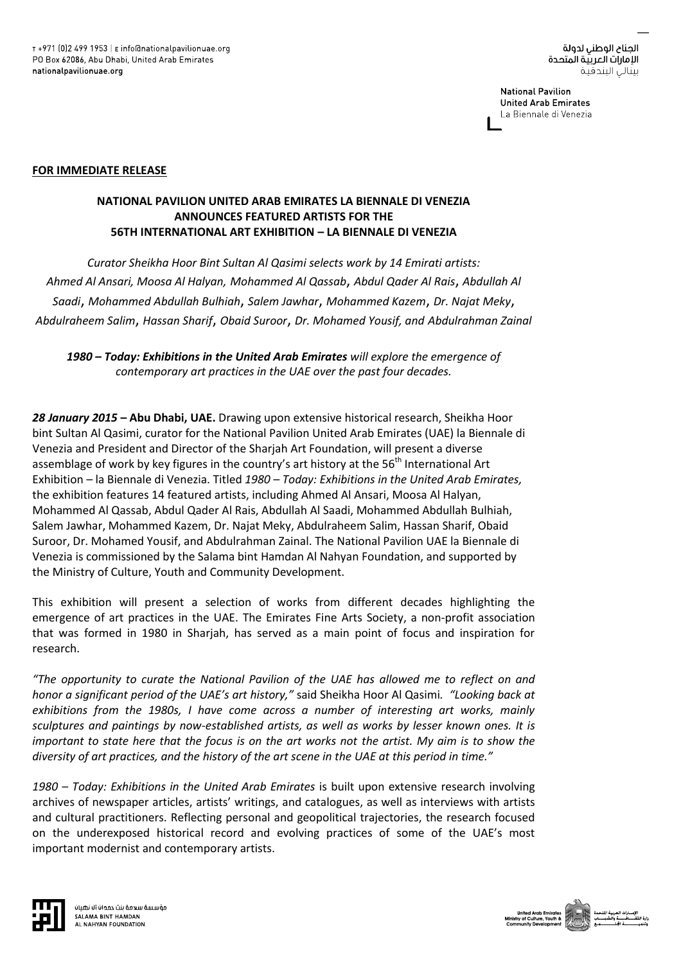**National Pavilion United Arab Emirates** La Biennale di Venezia

### **FOR IMMEDIATE RELEASE**

# **NATIONAL PAVILION UNITED ARAB EMIRATES LA BIENNALE DI VENEZIA ANNOUNCES FEATURED ARTISTS FOR THE 56TH INTERNATIONAL ART EXHIBITION – LA BIENNALE DI VENEZIA**

*Curator Sheikha Hoor Bint Sultan Al Qasimi selects work by 14 Emirati artists: Ahmed Al Ansari, Moosa Al Halyan, Mohammed Al Qassab*, *Abdul Qader Al Rais*, *Abdullah Al Saadi*, *Mohammed Abdullah Bulhiah*, *Salem Jawhar*, *Mohammed Kazem*, *Dr. Najat Meky*, *Abdulraheem Salim*, *Hassan Sharif*, *Obaid Suroor*, *Dr. Mohamed Yousif, and Abdulrahman Zainal*

*1980 – Today: Exhibitions in the United Arab Emirates will explore the emergence of contemporary art practices in the UAE over the past four decades.*

*28 January 2015* **– Abu Dhabi, UAE.** Drawing upon extensive historical research, Sheikha Hoor bint Sultan Al Qasimi, curator for the National Pavilion United Arab Emirates (UAE) la Biennale di Venezia and President and Director of the Sharjah Art Foundation, will present a diverse assemblage of work by key figures in the country's art history at the 56<sup>th</sup> International Art Exhibition – la Biennale di Venezia. Titled *1980 – Today: Exhibitions in the United Arab Emirates,*  the exhibition features 14 featured artists, including Ahmed Al Ansari, Moosa Al Halyan, Mohammed Al Qassab, Abdul Qader Al Rais, Abdullah Al Saadi, Mohammed Abdullah Bulhiah, Salem Jawhar, Mohammed Kazem, Dr. Najat Meky, Abdulraheem Salim, Hassan Sharif, Obaid Suroor, Dr. Mohamed Yousif, and Abdulrahman Zainal. The National Pavilion UAE la Biennale di Venezia is commissioned by the Salama bint Hamdan Al Nahyan Foundation, and supported by the Ministry of Culture, Youth and Community Development.

This exhibition will present a selection of works from different decades highlighting the emergence of art practices in the UAE. The Emirates Fine Arts Society, a non-profit association that was formed in 1980 in Sharjah, has served as a main point of focus and inspiration for research.

*"The opportunity to curate the National Pavilion of the UAE has allowed me to reflect on and honor a significant period of the UAE's art history,"* said Sheikha Hoor Al Qasimi*. "Looking back at exhibitions from the 1980s, I have come across a number of interesting art works, mainly sculptures and paintings by now-established artists, as well as works by lesser known ones. It is important to state here that the focus is on the art works not the artist. My aim is to show the diversity of art practices, and the history of the art scene in the UAE at this period in time."*

*1980 – Today: Exhibitions in the United Arab Emirates* is built upon extensive research involving archives of newspaper articles, artists' writings, and catalogues, as well as interviews with artists and cultural practitioners. Reflecting personal and geopolitical trajectories, the research focused on the underexposed historical record and evolving practices of some of the UAE's most important modernist and contemporary artists.



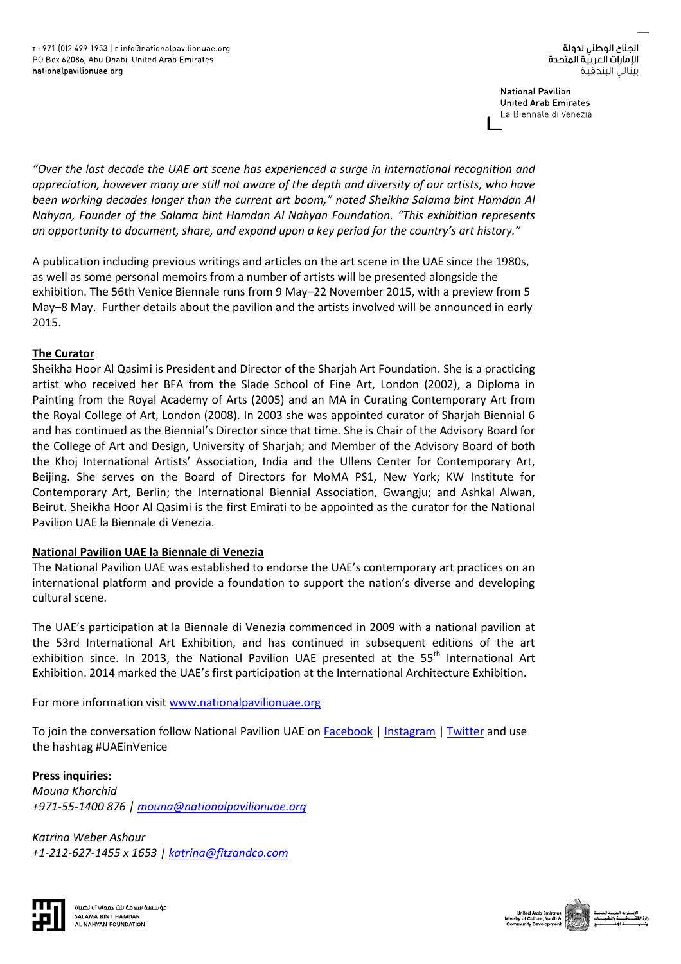**National Pavilion United Arab Emirates** La Biennale di Venezia

*"Over the last decade the UAE art scene has experienced a surge in international recognition and appreciation, however many are still not aware of the depth and diversity of our artists, who have been working decades longer than the current art boom," noted Sheikha Salama bint Hamdan Al Nahyan, Founder of the Salama bint Hamdan Al Nahyan Foundation. "This exhibition represents an opportunity to document, share, and expand upon a key period for the country's art history."*

A publication including previous writings and articles on the art scene in the UAE since the 1980s, as well as some personal memoirs from a number of artists will be presented alongside the exhibition. The 56th Venice Biennale runs from 9 May–22 November 2015, with a preview from 5 May–8 May. Further details about the pavilion and the artists involved will be announced in early 2015.

## **The Curator**

Sheikha Hoor Al Qasimi is President and Director of the Sharjah Art Foundation. She is a practicing artist who received her BFA from the Slade School of Fine Art, London (2002), a Diploma in Painting from the Royal Academy of Arts (2005) and an MA in Curating Contemporary Art from the Royal College of Art, London (2008). In 2003 she was appointed curator of Sharjah Biennial 6 and has continued as the Biennial's Director since that time. She is Chair of the Advisory Board for the College of Art and Design, University of Sharjah; and Member of the Advisory Board of both the Khoj International Artists' Association, India and the Ullens Center for Contemporary Art, Beijing. She serves on the Board of Directors for MoMA PS1, New York; KW Institute for Contemporary Art, Berlin; the International Biennial Association, Gwangju; and Ashkal Alwan, Beirut. Sheikha Hoor Al Qasimi is the first Emirati to be appointed as the curator for the National Pavilion UAE la Biennale di Venezia.

## **National Pavilion UAE la Biennale di Venezia**

The National Pavilion UAE was established to endorse the UAE's contemporary art practices on an international platform and provide a foundation to support the nation's diverse and developing cultural scene.

The UAE's participation at la Biennale di Venezia commenced in 2009 with a national pavilion at the 53rd International Art Exhibition, and has continued in subsequent editions of the art exhibition since. In 2013, the National Pavilion UAE presented at the 55<sup>th</sup> International Art Exhibition. 2014 marked the UAE's first participation at the International Architecture Exhibition.

For more information visit [www.nationalpavilionuae.org](http://www.nationalpavilionuae.org/)

To join the conversation follow National Pavilion UAE o[n Facebook](https://www.facebook.com/NationalPavilionUAE) [| Instagram](http://instagram.com/nationalpavilionuae) [| Twitter](https://twitter.com/pavilionuae/) and use the hashtag #UAEinVenice

**Press inquiries:**  *Mouna Khorchid +971-55-1400 876 | [mouna@nationalpavilionuae.org](mailto:mouna@nationalpavilionuae.org)*

*Katrina Weber Ashour +1-212-627-1455 x 1653 [| katrina@fitzandco.com](mailto:katrina@fitzandco.com)*